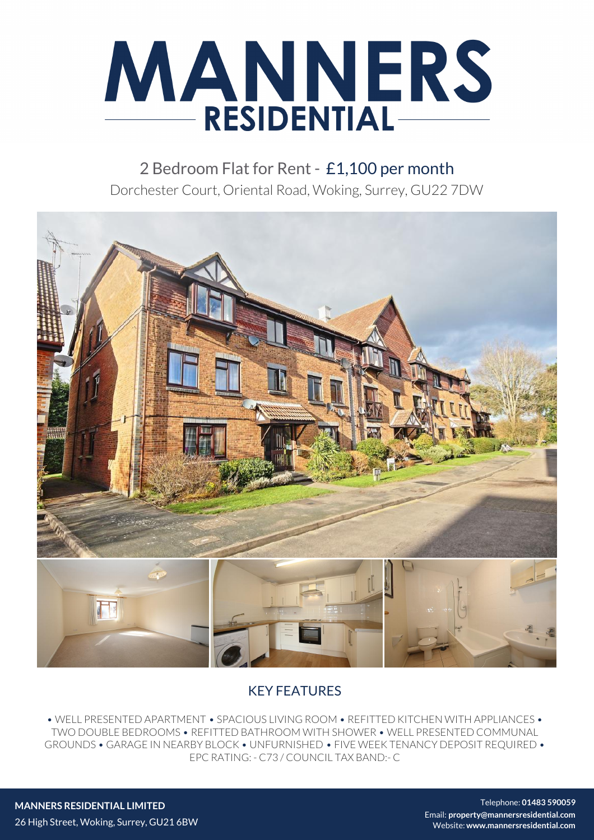

2 Bedroom Flat for Rent - £1,100 per month Dorchester Court, Oriental Road, Woking, Surrey, GU22 7DW



## KEY FEATURES

• WELL PRESENTED APARTMENT • SPACIOUS LIVING ROOM • REFITTED KITCHEN WITH APPLIANCES • TWO DOUBLE BEDROOMS • REFITTED BATHROOM WITH SHOWER • WELL PRESENTED COMMUNAL GROUNDS • GARAGE IN NEARBY BLOCK • UNFURNISHED • FIVE WEEK TENANCY DEPOSIT REQUIRED • EPC RATING: - C73 / COUNCIL TAX BAND:- C